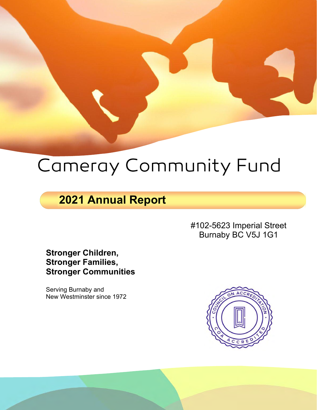# Cameray Community Fund

# **2021 Annual Report**

#102-5623 Imperial Street Burnaby BC V5J 1G1

**Stronger Children, Stronger Families, Stronger Communities**

Serving Burnaby and New Westminster since 1972

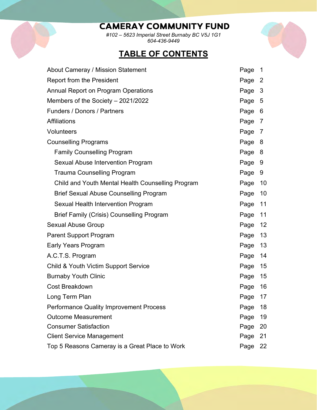# **CAMERAY COMMUNITY FUND**

*#102 – 5623 Imperial Street Burnaby BC V5J 1G1 604-436-9449*

# **TABLE OF CONTENTS**



| About Cameray / Mission Statement                 | Page   | $\overline{\phantom{0}}$ 1 |
|---------------------------------------------------|--------|----------------------------|
| <b>Report from the President</b>                  | Page 2 |                            |
| Annual Report on Program Operations               | Page 3 |                            |
| Members of the Society $-2021/2022$               | Page 5 |                            |
| <b>Funders / Donors / Partners</b>                | Page 6 |                            |
| <b>Affiliations</b>                               | Page 7 |                            |
| Volunteers                                        | Page 7 |                            |
| <b>Counselling Programs</b>                       | Page 8 |                            |
| <b>Family Counselling Program</b>                 | Page 8 |                            |
| Sexual Abuse Intervention Program                 | Page 9 |                            |
| <b>Trauma Counselling Program</b>                 | Page 9 |                            |
| Child and Youth Mental Health Counselling Program | Page   | 10                         |
| <b>Brief Sexual Abuse Counselling Program</b>     | Page   | 10                         |
| Sexual Health Intervention Program                | Page   | 11                         |
| <b>Brief Family (Crisis) Counselling Program</b>  | Page   | 11                         |
| <b>Sexual Abuse Group</b>                         | Page   | 12                         |
| <b>Parent Support Program</b>                     | Page   | 13                         |
| <b>Early Years Program</b>                        | Page   | 13                         |
| A.C.T.S. Program                                  | Page   | 14                         |
| Child & Youth Victim Support Service              | Page   | 15                         |
| <b>Burnaby Youth Clinic</b>                       | Page   | 15                         |
| <b>Cost Breakdown</b>                             | Page   | 16                         |
| Long Term Plan                                    | Page   | 17                         |
| <b>Performance Quality Improvement Process</b>    | Page   | 18                         |
| <b>Outcome Measurement</b>                        | Page   | 19                         |
| <b>Consumer Satisfaction</b>                      | Page   | 20                         |
| <b>Client Service Management</b>                  | Page   | 21                         |
| Top 5 Reasons Cameray is a Great Place to Work    | Page   | 22                         |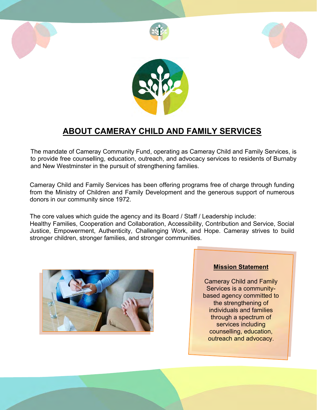

# **ABOUT CAMERAY CHILD AND FAMILY SERVICES**

The mandate of Cameray Community Fund, operating as Cameray Child and Family Services, is to provide free counselling, education, outreach, and advocacy services to residents of Burnaby and New Westminster in the pursuit of strengthening families.

Cameray Child and Family Services has been offering programs free of charge through funding from the Ministry of Children and Family Development and the generous support of numerous donors in our community since 1972.

The core values which guide the agency and its Board / Staff / Leadership include: Healthy Families, Cooperation and Collaboration, Accessibility, Contribution and Service, Social Justice, Empowerment, Authenticity, Challenging Work, and Hope. Cameray strives to build stronger children, stronger families, and stronger communities.



#### **Mission Statement**

Cameray Child and Family Services is a communitybased agency committed to the strengthening of individuals and families through a spectrum of services including counselling, education, outreach and advocacy.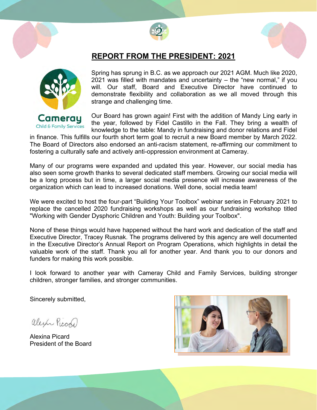



#### **REPORT FROM THE PRESIDENT: 2021**



Spring has sprung in B.C. as we approach our 2021 AGM. Much like 2020, 2021 was filled with mandates and uncertainty – the "new normal," if you will. Our staff, Board and Executive Director have continued to demonstrate flexibility and collaboration as we all moved through this strange and challenging time.

Our Board has grown again! First with the addition of Mandy Ling early in the year, followed by Fidel Castillo in the Fall. They bring a wealth of knowledge to the table: Mandy in fundraising and donor relations and Fidel

in finance. This fulfills our fourth short term goal to recruit a new Board member by March 2022. The Board of Directors also endorsed an anti-racism statement, re-affirming our commitment to fostering a culturally safe and actively anti-oppression environment at Cameray.

Many of our programs were expanded and updated this year. However, our social media has also seen some growth thanks to several dedicated staff members. Growing our social media will be a long process but in time, a larger social media presence will increase awareness of the organization which can lead to increased donations. Well done, social media team!

We were excited to host the four-part "Building Your Toolbox" webinar series in February 2021 to replace the cancelled 2020 fundraising workshops as well as our fundraising workshop titled "Working with Gender Dysphoric Children and Youth: Building your Toolbox".

None of these things would have happened without the hard work and dedication of the staff and Executive Director, Tracey Rusnak. The programs delivered by this agency are well documented in the Executive Director's Annual Report on Program Operations, which highlights in detail the valuable work of the staff. Thank you all for another year. And thank you to our donors and funders for making this work possible.

I look forward to another year with Cameray Child and Family Services, building stronger children, stronger families, and stronger communities.

Sincerely submitted,

alexín Picon

Alexina Picard President of the Board

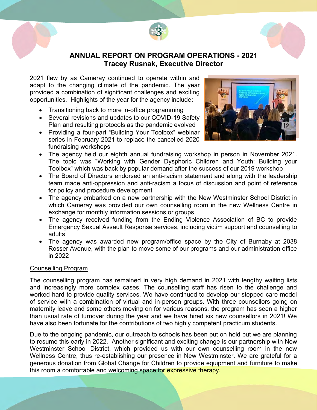



#### **ANNUAL REPORT ON PROGRAM OPERATIONS - 2021 Tracey Rusnak, Executive Director**

2021 flew by as Cameray continued to operate within and adapt to the changing climate of the pandemic. The year provided a combination of significant challenges and exciting opportunities. Highlights of the year for the agency include:

- Transitioning back to more in-office programming
- Several revisions and updates to our COVID-19 Safety Plan and resulting protocols as the pandemic evolved
- Providing a four-part "Building Your Toolbox" webinar series in February 2021 to replace the cancelled 2020 fundraising workshops



- The agency held our eighth annual fundraising workshop in person in November 2021. The topic was "Working with Gender Dysphoric Children and Youth: Building your Toolbox" which was back by popular demand after the success of our 2019 workshop
- The Board of Directors endorsed an anti-racism statement and along with the leadership team made anti-oppression and anti-racism a focus of discussion and point of reference for policy and procedure development
- The agency embarked on a new partnership with the New Westminster School District in which Cameray was provided our own counselling room in the new Wellness Centre in exchange for monthly information sessions or groups
- The agency received funding from the Ending Violence Association of BC to provide Emergency Sexual Assault Response services, including victim support and counselling to adults
- The agency was awarded new program/office space by the City of Burnaby at 2038 Rosser Avenue, with the plan to move some of our programs and our administration office in 2022

#### Counselling Program

The counselling program has remained in very high demand in 2021 with lengthy waiting lists and increasingly more complex cases. The counselling staff has risen to the challenge and worked hard to provide quality services. We have continued to develop our stepped care model of service with a combination of virtual and in-person groups. With three counsellors going on maternity leave and some others moving on for various reasons, the program has seen a higher than usual rate of turnover during the year and we have hired six new counsellors in 2021! We have also been fortunate for the contributions of two highly competent practicum students.

Due to the ongoing pandemic, our outreach to schools has been put on hold but we are planning to resume this early in 2022. Another significant and exciting change is our partnership with New Westminster School District, which provided us with our own counselling room in the new Wellness Centre, thus re-establishing our presence in New Westminster. We are grateful for a generous donation from Global Change for Children to provide equipment and furniture to make this room a comfortable and welcoming space for expressive therapy.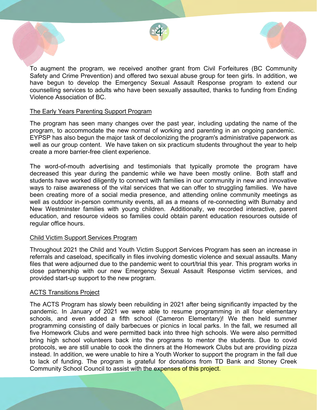



To augment the program, we received another grant from Civil Forfeitures (BC Community Safety and Crime Prevention) and offered two sexual abuse group for teen girls. In addition, we have begun to develop the Emergency Sexual Assault Response program to extend our counselling services to adults who have been sexually assaulted, thanks to funding from Ending Violence Association of BC.

#### The Early Years Parenting Support Program

The program has seen many changes over the past year, including updating the name of the program, to accommodate the new normal of working and parenting in an ongoing pandemic. EYPSP has also begun the major task of decolonizing the program's administrative paperwork as well as our group content. We have taken on six practicum students throughout the year to help create a more barrier-free client experience.

The word-of-mouth advertising and testimonials that typically promote the program have decreased this year during the pandemic while we have been mostly online. Both staff and students have worked diligently to connect with families in our community in new and innovative ways to raise awareness of the vital services that we can offer to struggling families. We have been creating more of a social media presence, and attending online community meetings as well as outdoor in-person community events, all as a means of re-connecting with Burnaby and New Westminster families with young children. Additionally, we recorded interactive, parent education, and resource videos so families could obtain parent education resources outside of regular office hours.

#### Child Victim Support Services Program

Throughout 2021 the Child and Youth Victim Support Services Program has seen an increase in referrals and caseload, specifically in files involving domestic violence and sexual assaults. Many files that were adjourned due to the pandemic went to court/trial this year. This program works in close partnership with our new Emergency Sexual Assault Response victim services, and provided start-up support to the new program.

#### ACTS Transitions Project

The ACTS Program has slowly been rebuilding in 2021 after being significantly impacted by the pandemic. In January of 2021 we were able to resume programming in all four elementary schools, and even added a fifth school (Cameron Elementary)! We then held summer programming consisting of daily barbecues or picnics in local parks. In the fall, we resumed all five Homework Clubs and were permitted back into three high schools. We were also permitted bring high school volunteers back into the programs to mentor the students. Due to covid protocols, we are still unable to cook the dinners at the Homework Clubs but are providing pizza instead. In addition, we were unable to hire a Youth Worker to support the program in the fall due to lack of funding. The program is grateful for donations from TD Bank and Stoney Creek Community School Council to assist with the expenses of this project.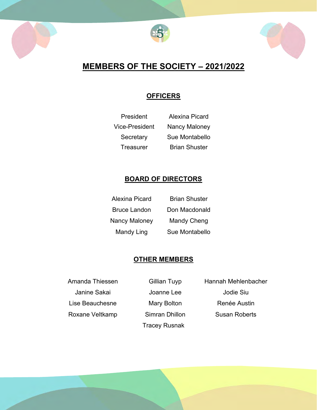





# **MEMBERS OF THE SOCIETY – 2021/2022**

#### **OFFICERS**

| President      | Alexina Picard       |
|----------------|----------------------|
| Vice-President | <b>Nancy Maloney</b> |
| Secretary      | Sue Montabello       |
| Treasurer      | <b>Brian Shuster</b> |

#### **BOARD OF DIRECTORS**

| Alexina Picard       | <b>Brian Shuster</b> |
|----------------------|----------------------|
| <b>Bruce Landon</b>  | Don Macdonald        |
| <b>Nancy Maloney</b> | Mandy Cheng          |
| Mandy Ling           | Sue Montabello       |

#### **OTHER MEMBERS**

Janine Sakai Joanne Lee Jodie Siu Lise Beauchesne **Mary Bolton** Renée Austin Roxane Veltkamp Simran Dhillon Susan Roberts

Tracey Rusnak

Amanda Thiessen Gillian Tuyp Hannah Mehlenbacher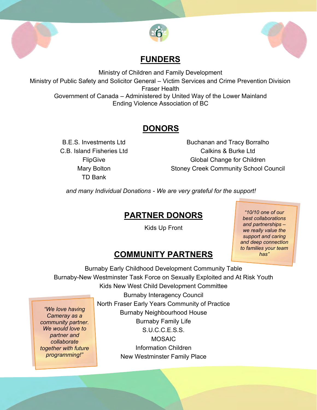



# **FUNDERS**

Ministry of Children and Family Development Ministry of Public Safety and Solicitor General – Victim Services and Crime Prevention Division Fraser Health Government of Canada – Administered by United Way of the Lower Mainland Ending Violence Association of BC

# **DONORS**

TD Bank

j

*We would love to partner and collaborate together with future programming!"*

B.E.S. Investments Ltd Buchanan and Tracy Borralho C.B. Island Fisheries Ltd Calkins & Burke Ltd FlipGive Global Change for Children Mary Bolton Stoney Creek Community School Council

*and many Individual Donations - We are very grateful for the support!*

# **PARTNER DONORS**

Kids Up Front

*"10/10 one of our best collaborations and partnerships – we really value the support and caring and deep connection to families your team has"*

# **COMMUNITY PARTNERS**

Burnaby Early Childhood Development Community Table Burnaby-New Westminster Task Force on Sexually Exploited and At Risk Youth Kids New West Child Development Committee Burnaby Interagency Council North Fraser Early Years Community of Practice Burnaby Neighbourhood House Burnaby Family Life *"We love having Cameray as a community partner.* 

S.U.C.C.E.S.S. MOSAIC Information Children New Westminster Family Place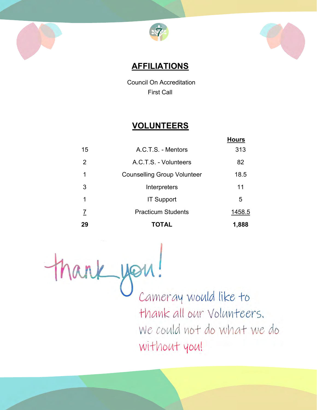





 **AFFILIATIONS**

 Council On Accreditation First Call

# **VOLUNTEERS**

|    |                                    | <b>Hours</b> |
|----|------------------------------------|--------------|
| 15 | A.C.T.S. - Mentors                 | 313          |
| 2  | A.C.T.S. - Volunteers              | 82           |
|    | <b>Counselling Group Volunteer</b> | 18.5         |
| 3  | Interpreters                       | 11           |
| 1  | <b>IT Support</b>                  | 5            |
| 7  | <b>Practicum Students</b>          | 1458.5       |
| 29 | TOTAL                              | 1,888        |

thank you! Cameray would like to thank all our Volunteers. We could not do what we do without you!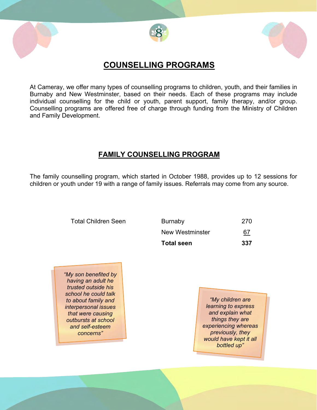





### **COUNSELLING PROGRAMS**

At Cameray, we offer many types of counselling programs to children, youth, and their families in Burnaby and New Westminster, based on their needs. Each of these programs may include individual counselling for the child or youth, parent support, family therapy, and/or group. Counselling programs are offered free of charge through funding from the Ministry of Children and Family Development.

#### **FAMILY COUNSELLING PROGRAM**

The family counselling program, which started in October 1988, provides up to 12 sessions for children or youth under 19 with a range of family issues. Referrals may come from any source.

> Total Children Seen Burnaby 270 New Westminster 67 **Total seen 337**

*"My son benefited by having an adult he trusted outside his school he could talk to about family and interpersonal issues that were causing outbursts at school and self-esteem concerns"*

*"My children are learning to express and explain what things they are experiencing whereas previously, they would have kept it all bottled up"*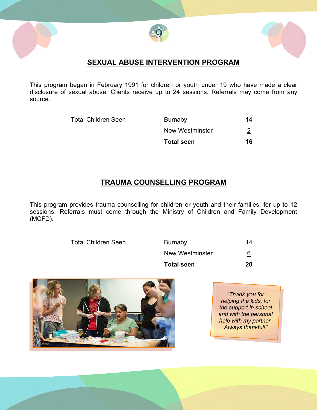





#### **SEXUAL ABUSE INTERVENTION PROGRAM**

This program began in February 1991 for children or youth under 19 who have made a clear disclosure of sexual abuse. Clients receive up to 24 sessions. Referrals may come from any source.

Total Children Seen

| <b>Total seen</b> | 16       |
|-------------------|----------|
| New Westminster   | <u>2</u> |
| Burnaby           | 14       |

#### **TRAUMA COUNSELLING PROGRAM**

This program provides trauma counselling for children or youth and their families, for up to 12 sessions. Referrals must come through the Ministry of Children and Family Development (MCFD).

**Total Children Seen** 

| <b>Total seen</b> | 20 |
|-------------------|----|
| New Westminster   | 6  |
| <b>Burnaby</b>    | 14 |



*"Thank you for helping the kids, for the support in school and with the personal help with my partner. Always thankful!"*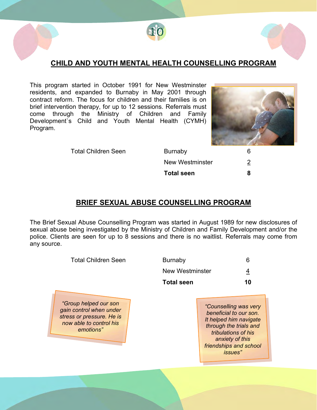

#### **CHILD AND YOUTH MENTAL HEALTH COUNSELLING PROGRAM**

This program started in October 1991 for New Westminster residents, and expanded to Burnaby in May 2001 through contract reform. The focus for children and their families is on brief intervention therapy, for up to 12 sessions. Referrals must come through the Ministry of Children and Family Development`s Child and Youth Mental Health (CYMH) Program.



Total Children Seen Burnaby 6 New Westminster 2 **Total seen 8**

#### **BRIEF SEXUAL ABUSE COUNSELLING PROGRAM**

The Brief Sexual Abuse Counselling Program was started in August 1989 for new disclosures of sexual abuse being investigated by the Ministry of Children and Family Development and/or the police. Clients are seen for up to 8 sessions and there is no waitlist. Referrals may come from any source.

| <b>Total Children Seen</b>                                                                                            | <b>Burnaby</b>    | 6                                                                                                                                                                                          |
|-----------------------------------------------------------------------------------------------------------------------|-------------------|--------------------------------------------------------------------------------------------------------------------------------------------------------------------------------------------|
|                                                                                                                       | New Westminster   | 4                                                                                                                                                                                          |
|                                                                                                                       | <b>Total seen</b> | 10                                                                                                                                                                                         |
| "Group helped our son<br>gain control when under<br>stress or pressure. He is<br>now able to control his<br>emotions" |                   | "Counselling was very<br>beneficial to our son.<br>It helped him navigate<br>through the trials and<br>tribulations of his<br>anxiety of this<br>friendships and school<br><i>issues</i> " |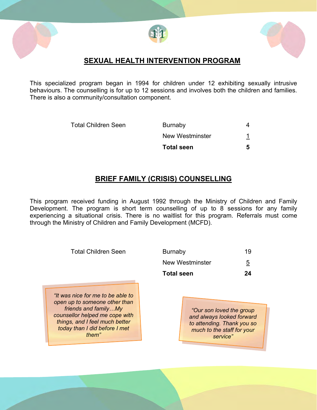





#### **SEXUAL HEALTH INTERVENTION PROGRAM**

This specialized program began in 1994 for children under 12 exhibiting sexually intrusive behaviours. The counselling is for up to 12 sessions and involves both the children and families. There is also a community/consultation component.

Total Children Seen Burnaby 4 New Westminster 1 **Total seen 5**

#### **BRIEF FAMILY (CRISIS) COUNSELLING**

This program received funding in August 1992 through the Ministry of Children and Family Development. The program is short term counselling of up to 8 sessions for any family experiencing a situational crisis. There is no waitlist for this program. Referrals must come through the Ministry of Children and Family Development (MCFD).

| <b>Total Children Seen</b>                                                                                                                                                                               | Burnaby                                                                                                                        | 19             |
|----------------------------------------------------------------------------------------------------------------------------------------------------------------------------------------------------------|--------------------------------------------------------------------------------------------------------------------------------|----------------|
|                                                                                                                                                                                                          | <b>New Westminster</b>                                                                                                         | $\overline{5}$ |
|                                                                                                                                                                                                          | <b>Total seen</b>                                                                                                              | 24             |
| "It was nice for me to be able to<br>open up to someone other than<br>friends and familyMy<br>counsellor helped me cope with<br>things, and I feel much better<br>today than I did before I met<br>them" | "Our son loved the group"<br>and always looked forward<br>to attending. Thank you so<br>much to the staff for your<br>service" |                |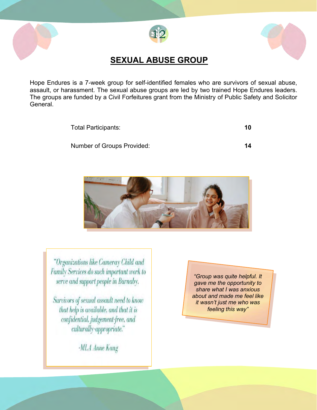





# **SEXUAL ABUSE GROUP**

Hope Endures is a 7-week group for self-identified females who are survivors of sexual abuse, assault, or harassment. The sexual abuse groups are led by two trained Hope Endures leaders. The groups are funded by a Civil Forfeitures grant from the Ministry of Public Safety and Solicitor General.

Total Participants: **10**

Number of Groups Provided: **14**



"Organizations like Cameray Child and Family Services do such important work to serve and support people in Burnaby.

Survivors of sexual assault need to know that help is available, and that it is confidential, judgement-free, and culturally-appropriate."

*"Group was quite helpful. It gave me the opportunity to share what I was anxious about and made me feel like it wasn't just me who was feeling this way"*

-MLA Anne Kang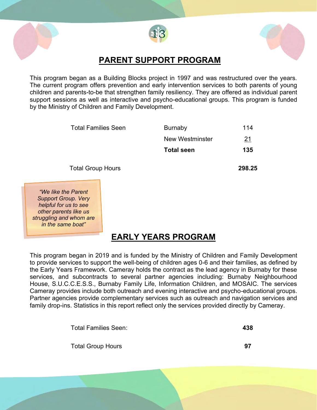



### **PARENT SUPPORT PROGRAM**

This program began as a Building Blocks project in 1997 and was restructured over the years. The current program offers prevention and early intervention services to both parents of young children and parents-to-be that strengthen family resiliency. They are offered as individual parent support sessions as well as interactive and psycho-educational groups. This program is funded by the Ministry of Children and Family Development.

> Total Families Seen Burnaby 114 New Westminster 21 **Total seen 135**

Total Group Hours **298.25**

*"We like the Parent Support Group. Very helpful for us to see other parents like us struggling and whom are in the same boat"*

# **EARLY YEARS PROGRAM**

This program began in 2019 and is funded by the Ministry of Children and Family Development to provide services to support the well-being of children ages 0-6 and their families, as defined by the Early Years Framework. Cameray holds the contract as the lead agency in Burnaby for these services, and subcontracts to several partner agencies including: Burnaby Neighbourhood House, S.U.C.C.E.S.S., Burnaby Family Life, Information Children, and MOSAIC. The services Cameray provides include both outreach and evening interactive and psycho-educational groups. Partner agencies provide complementary services such as outreach and navigation services and family drop-ins. Statistics in this report reflect only the services provided directly by Cameray.

| Total Families Seen:     | 438 |
|--------------------------|-----|
| <b>Total Group Hours</b> | 97  |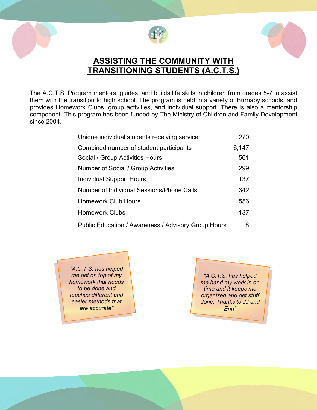





# **ASSISTING THE COMMUNITY WITH TRANSITIONING STUDENTS (A.C.T.S.)**

The A.C.T.S. Program mentors, guides, and builds life skills in children from grades 5-7 to assist them with the transition to high school. The program is held in a variety of Burnaby schools, and provides Homework Clubs, group activities, and individual support. There is also a mentorship component. This program has been funded by The Ministry of Children and Family Development since 2004.

| Unique individual students receiving service        | 270   |
|-----------------------------------------------------|-------|
| Combined number of student participants             | 6,147 |
| Social / Group Activities Hours                     | 561   |
| Number of Social / Group Activities                 | 299   |
| Individual Support Hours                            | 137   |
| <b>Number of Individual Sessions/Phone Calls</b>    | 342   |
| <b>Homework Club Hours</b>                          | 556   |
| <b>Homework Clubs</b>                               | 137   |
| Public Education / Awareness / Advisory Group Hours | 8     |

*"A.C.T.S. has helped me get on top of my homework that needs to be done and teaches different and easier methods that are accurate"*

*"A.C.T.S. has helped me hand my work in on time and it keeps me organized and get stuff done. Thanks to JJ and Erin"*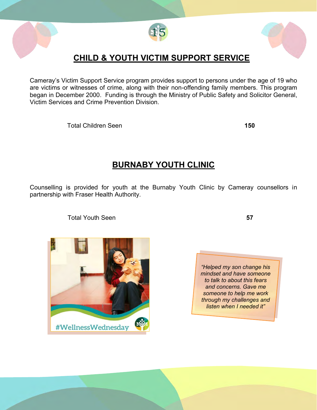

# **CHILD & YOUTH VICTIM SUPPORT SERVICE**

Cameray's Victim Support Service program provides support to persons under the age of 19 who are victims or witnesses of crime, along with their non-offending family members. This program began in December 2000. Funding is through the Ministry of Public Safety and Solicitor General, Victim Services and Crime Prevention Division.

Total Children Seen **150**

# **BURNABY YOUTH CLINIC**

Counselling is provided for youth at the Burnaby Youth Clinic by Cameray counsellors in partnership with Fraser Health Authority.

Total Youth Seen **57**



*"Helped my son change his mindset and have someone to talk to about this fears and concerns. Gave me someone to help me work through my challenges and listen when I needed it"*



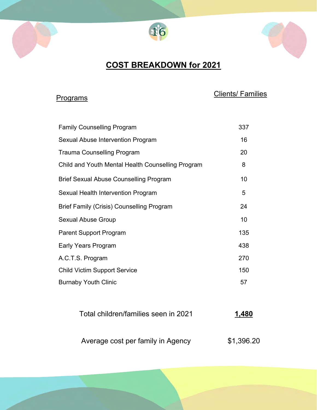



# **COST BREAKDOWN for 2021**

# Programs **Clients**

| Family Counselling Program                        | 337 |
|---------------------------------------------------|-----|
| Sexual Abuse Intervention Program                 | 16  |
| <b>Trauma Counselling Program</b>                 | 20  |
| Child and Youth Mental Health Counselling Program | 8   |
| Brief Sexual Abuse Counselling Program            | 10  |
| Sexual Health Intervention Program                | 5   |
| Brief Family (Crisis) Counselling Program         | 24  |
| Sexual Abuse Group                                | 10  |
| <b>Parent Support Program</b>                     | 135 |
| Early Years Program                               | 438 |
| A.C.T.S. Program                                  | 270 |
| <b>Child Victim Support Service</b>               | 150 |
| <b>Burnaby Youth Clinic</b>                       | 57  |
|                                                   |     |
|                                                   |     |

| Total children/families seen in 2021 | 1,480      |
|--------------------------------------|------------|
| Average cost per family in Agency    | \$1,396.20 |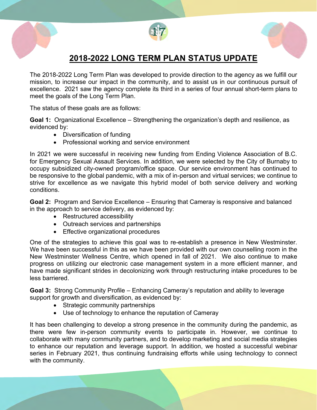

# **2018-2022 LONG TERM PLAN STATUS UPDATE**

The 2018-2022 Long Term Plan was developed to provide direction to the agency as we fulfill our mission, to increase our impact in the community, and to assist us in our continuous pursuit of excellence. 2021 saw the agency complete its third in a series of four annual short-term plans to meet the goals of the Long Term Plan.

The status of these goals are as follows:

**Goal 1:** Organizational Excellence – Strengthening the organization's depth and resilience, as evidenced by:

- Diversification of funding
- Professional working and service environment

In 2021 we were successful in receiving new funding from Ending Violence Association of B.C. for Emergency Sexual Assault Services. In addition, we were selected by the City of Burnaby to occupy subsidized city-owned program/office space. Our service environment has continued to be responsive to the global pandemic, with a mix of in-person and virtual services; we continue to strive for excellence as we navigate this hybrid model of both service delivery and working conditions.

**Goal 2:** Program and Service Excellence – Ensuring that Cameray is responsive and balanced in the approach to service delivery, as evidenced by:

- Restructured accessibility
- Outreach services and partnerships
- Effective organizational procedures

One of the strategies to achieve this goal was to re-establish a presence in New Westminster. We have been successful in this as we have been provided with our own counselling room in the New Westminster Wellness Centre, which opened in fall of 2021. We also continue to make progress on utilizing our electronic case management system in a more efficient manner, and have made significant strides in decolonizing work through restructuring intake procedures to be less barriered.

**Goal 3:** Strong Community Profile – Enhancing Cameray's reputation and ability to leverage support for growth and diversification, as evidenced by:

- Strategic community partnerships
- Use of technology to enhance the reputation of Cameray

It has been challenging to develop a strong presence in the community during the pandemic, as there were few in-person community events to participate in. However, we continue to collaborate with many community partners, and to develop marketing and social media strategies to enhance our reputation and leverage support. In addition, we hosted a successful webinar series in February 2021, thus continuing fundraising efforts while using technology to connect with the community.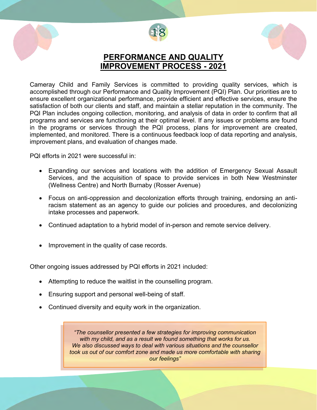





### **PERFORMANCE AND QUALITY IMPROVEMENT PROCESS - 2021**

Cameray Child and Family Services is committed to providing quality services, which is accomplished through our Performance and Quality Improvement (PQI) Plan. Our priorities are to ensure excellent organizational performance, provide efficient and effective services, ensure the satisfaction of both our clients and staff, and maintain a stellar reputation in the community. The PQI Plan includes ongoing collection, monitoring, and analysis of data in order to confirm that all programs and services are functioning at their optimal level. If any issues or problems are found in the programs or services through the PQI process, plans for improvement are created, implemented, and monitored. There is a continuous feedback loop of data reporting and analysis, improvement plans, and evaluation of changes made.

PQI efforts in 2021 were successful in:

- Expanding our services and locations with the addition of Emergency Sexual Assault Services, and the acquisition of space to provide services in both New Westminster (Wellness Centre) and North Burnaby (Rosser Avenue)
- Focus on anti-oppression and decolonization efforts through training, endorsing an antiracism statement as an agency to guide our policies and procedures, and decolonizing intake processes and paperwork.
- Continued adaptation to a hybrid model of in-person and remote service delivery.
- Improvement in the quality of case records.

Other ongoing issues addressed by PQI efforts in 2021 included:

- Attempting to reduce the waitlist in the counselling program.
- Ensuring support and personal well-being of staff.
- Continued diversity and equity work in the organization.

*"The counsellor presented a few strategies for improving communication with my child, and as a result we found something that works for us. We also discussed ways to deal with various situations and the counsellor took us out of our comfort zone and made us more comfortable with sharing our feelings"*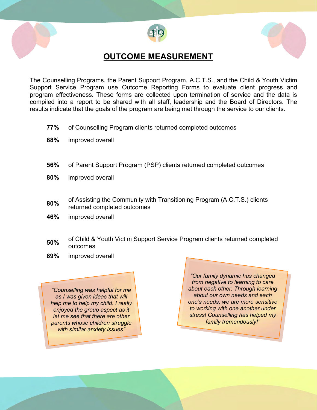



## **OUTCOME MEASUREMENT**

The Counselling Programs, the Parent Support Program, A.C.T.S., and the Child & Youth Victim Support Service Program use Outcome Reporting Forms to evaluate client progress and program effectiveness. These forms are collected upon termination of service and the data is compiled into a report to be shared with all staff, leadership and the Board of Directors. The results indicate that the goals of the program are being met through the service to our clients.

- **77%** of Counselling Program clients returned completed outcomes
- **88%** improved overall
- **56%** of Parent Support Program (PSP) clients returned completed outcomes
- **80%** improved overall
- **80%** of Assisting the Community with Transitioning Program (A.C.T.S.) clients returned completed outcomes
- **46%** improved overall
- **50%** of Child & Youth Victim Support Service Program clients returned completed outcomes
- **89%** improved overall

*"Counselling was helpful for me as I was given ideas that will help me to help my child. I really enjoyed the group aspect as it let me see that there are other parents whose children struggle with similar anxiety issues"*

*"Our family dynamic has changed from negative to learning to care about each other. Through learning about our own needs and each one's needs, we are more sensitive to working with one another under stress! Counselling has helped my family tremendously!"*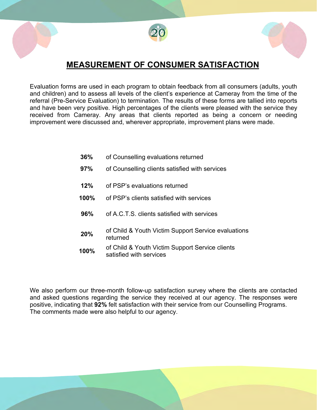





# **MEASUREMENT OF CONSUMER SATISFACTION**

Evaluation forms are used in each program to obtain feedback from all consumers (adults, youth and children) and to assess all levels of the client's experience at Cameray from the time of the referral (Pre-Service Evaluation) to termination. The results of these forms are tallied into reports and have been very positive. High percentages of the clients were pleased with the service they received from Cameray. Any areas that clients reported as being a concern or needing improvement were discussed and, wherever appropriate, improvement plans were made.

- **36%** of Counselling evaluations returned
- **97%** of Counselling clients satisfied with services
- **12%** of PSP's evaluations returned
- **100%** of PSP's clients satisfied with services
- **96%** of A.C.T.S. clients satisfied with services
- **20%** of Child & Youth Victim Support Service evaluations returned
- **100%** of Child & Youth Victim Support Service clients satisfied with services

We also perform our three-month follow-up satisfaction survey where the clients are contacted and asked questions regarding the service they received at our agency. The responses were positive, indicating that **92%** felt satisfaction with their service from our Counselling Programs. The comments made were also helpful to our agency.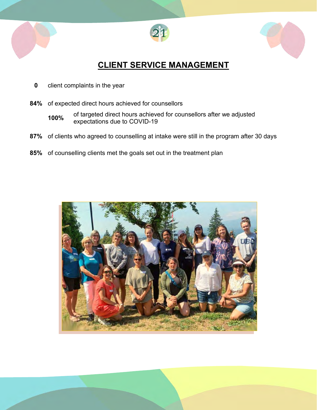





# **CLIENT SERVICE MANAGEMENT**

- **0** client complaints in the year
- **84%** of expected direct hours achieved for counsellors
	- **100%** of targeted direct hours achieved for counsellors after we adjusted expectations due to COVID-19
- **87%** of clients who agreed to counselling at intake were still in the program after 30 days
- **85%** of counselling clients met the goals set out in the treatment plan